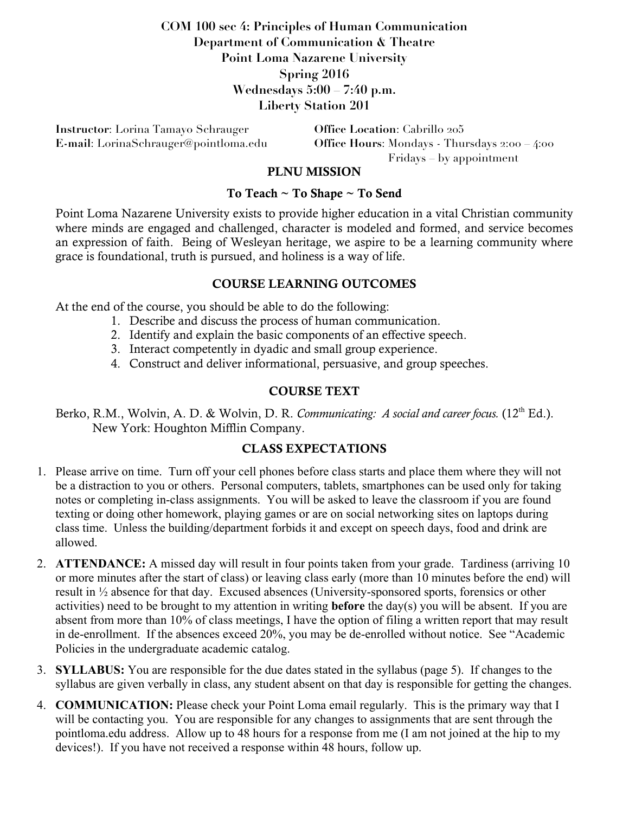# **COM 100 sec 4: Principles of Human Communication Department of Communication & Theatre Point Loma Nazarene University Spring 2016 Wednesdays 5:00 – 7:40 p.m. Liberty Station 201**

**Instructor**: Lorina Tamayo Schrauger **Office Location**: Cabrillo 205

**E-mail**: LorinaSchrauger@pointloma.edu **Office Hours**: Mondays - Thursdays 2:00 – 4:00 Fridays – by appointment

### PLNU MISSION

#### To Teach ~ To Shape ~ To Send

Point Loma Nazarene University exists to provide higher education in a vital Christian community where minds are engaged and challenged, character is modeled and formed, and service becomes an expression of faith. Being of Wesleyan heritage, we aspire to be a learning community where grace is foundational, truth is pursued, and holiness is a way of life.

#### COURSE LEARNING OUTCOMES

At the end of the course, you should be able to do the following:

- 1. Describe and discuss the process of human communication.
- 2. Identify and explain the basic components of an effective speech.
- 3. Interact competently in dyadic and small group experience.
- 4. Construct and deliver informational, persuasive, and group speeches.

### COURSE TEXT

Berko, R.M., Wolvin, A. D. & Wolvin, D. R. *Communicating: A social and career focus.* (12th Ed.). New York: Houghton Mifflin Company.

### CLASS EXPECTATIONS

- 1. Please arrive on time. Turn off your cell phones before class starts and place them where they will not be a distraction to you or others. Personal computers, tablets, smartphones can be used only for taking notes or completing in-class assignments. You will be asked to leave the classroom if you are found texting or doing other homework, playing games or are on social networking sites on laptops during class time. Unless the building/department forbids it and except on speech days, food and drink are allowed.
- 2. **ATTENDANCE:** A missed day will result in four points taken from your grade. Tardiness (arriving 10 or more minutes after the start of class) or leaving class early (more than 10 minutes before the end) will result in ½ absence for that day. Excused absences (University-sponsored sports, forensics or other activities) need to be brought to my attention in writing **before** the day(s) you will be absent. If you are absent from more than 10% of class meetings, I have the option of filing a written report that may result in de-enrollment. If the absences exceed 20%, you may be de-enrolled without notice. See "Academic Policies in the undergraduate academic catalog.
- 3. **SYLLABUS:** You are responsible for the due dates stated in the syllabus (page 5). If changes to the syllabus are given verbally in class, any student absent on that day is responsible for getting the changes.
- 4. **COMMUNICATION:** Please check your Point Loma email regularly. This is the primary way that I will be contacting you. You are responsible for any changes to assignments that are sent through the pointloma.edu address. Allow up to 48 hours for a response from me (I am not joined at the hip to my devices!). If you have not received a response within 48 hours, follow up.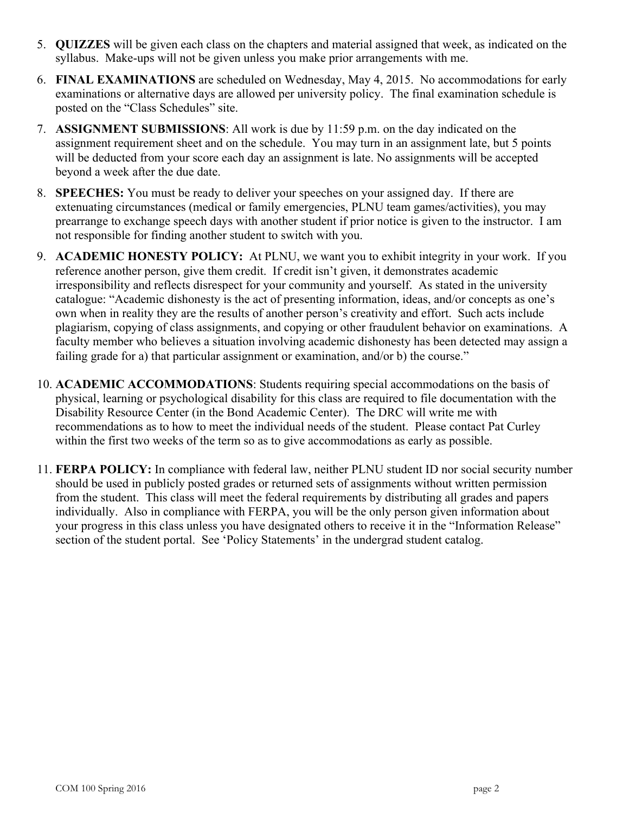- 5. **QUIZZES** will be given each class on the chapters and material assigned that week, as indicated on the syllabus. Make-ups will not be given unless you make prior arrangements with me.
- 6. **FINAL EXAMINATIONS** are scheduled on Wednesday, May 4, 2015. No accommodations for early examinations or alternative days are allowed per university policy. The final examination schedule is posted on the "Class Schedules" site.
- 7. **ASSIGNMENT SUBMISSIONS**: All work is due by 11:59 p.m. on the day indicated on the assignment requirement sheet and on the schedule. You may turn in an assignment late, but 5 points will be deducted from your score each day an assignment is late. No assignments will be accepted beyond a week after the due date.
- 8. **SPEECHES:** You must be ready to deliver your speeches on your assigned day. If there are extenuating circumstances (medical or family emergencies, PLNU team games/activities), you may prearrange to exchange speech days with another student if prior notice is given to the instructor. I am not responsible for finding another student to switch with you.
- 9. **ACADEMIC HONESTY POLICY:** At PLNU, we want you to exhibit integrity in your work. If you reference another person, give them credit. If credit isn't given, it demonstrates academic irresponsibility and reflects disrespect for your community and yourself. As stated in the university catalogue: "Academic dishonesty is the act of presenting information, ideas, and/or concepts as one's own when in reality they are the results of another person's creativity and effort. Such acts include plagiarism, copying of class assignments, and copying or other fraudulent behavior on examinations. A faculty member who believes a situation involving academic dishonesty has been detected may assign a failing grade for a) that particular assignment or examination, and/or b) the course."
- 10. **ACADEMIC ACCOMMODATIONS**: Students requiring special accommodations on the basis of physical, learning or psychological disability for this class are required to file documentation with the Disability Resource Center (in the Bond Academic Center). The DRC will write me with recommendations as to how to meet the individual needs of the student. Please contact Pat Curley within the first two weeks of the term so as to give accommodations as early as possible.
- 11. **FERPA POLICY:** In compliance with federal law, neither PLNU student ID nor social security number should be used in publicly posted grades or returned sets of assignments without written permission from the student. This class will meet the federal requirements by distributing all grades and papers individually. Also in compliance with FERPA, you will be the only person given information about your progress in this class unless you have designated others to receive it in the "Information Release" section of the student portal. See 'Policy Statements' in the undergrad student catalog.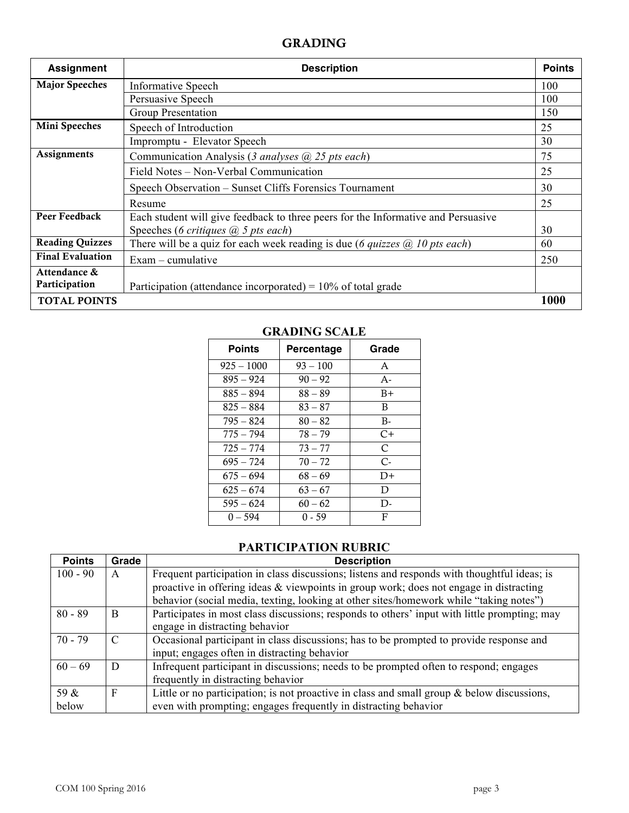# GRADING

| <b>Assignment</b>       | <b>Description</b>                                                                          | <b>Points</b> |
|-------------------------|---------------------------------------------------------------------------------------------|---------------|
| <b>Major Speeches</b>   | <b>Informative Speech</b>                                                                   | 100           |
|                         | Persuasive Speech                                                                           | 100           |
|                         | Group Presentation                                                                          | 150           |
| Mini Speeches           | Speech of Introduction                                                                      | 25            |
|                         | Impromptu - Elevator Speech                                                                 | 30            |
| Assignments             | Communication Analysis (3 analyses $(a)$ 25 pts each)                                       |               |
|                         | Field Notes – Non-Verbal Communication                                                      | 25            |
|                         | Speech Observation – Sunset Cliffs Forensics Tournament                                     | 30            |
|                         | Resume                                                                                      | 25            |
| Peer Feedback           | Each student will give feedback to three peers for the Informative and Persuasive           |               |
|                         | Speeches (6 critiques $(a)$ 5 pts each)                                                     | 30            |
| <b>Reading Quizzes</b>  | There will be a quiz for each week reading is due (6 <i>quizzes</i> $\omega$ ) 10 pts each) | 60            |
| <b>Final Evaluation</b> | $Exam$ – cumulative                                                                         | 250           |
| Attendance &            |                                                                                             |               |
| Participation           | Participation (attendance incorporated) = $10\%$ of total grade                             |               |
| <b>TOTAL POINTS</b>     |                                                                                             | 1000          |

| <b>Points</b> | Percentage | Grade         |  |
|---------------|------------|---------------|--|
| $925 - 1000$  | $93 - 100$ | A             |  |
| $895 - 924$   | $90 - 92$  | $A -$         |  |
| $885 - 894$   | $88 - 89$  | $B+$          |  |
| $825 - 884$   | $83 - 87$  | B             |  |
| $795 - 824$   | $80 - 82$  | $B -$         |  |
| $775 - 794$   | $78 - 79$  | C+            |  |
| $725 - 774$   | $73 - 77$  | $\mathcal{C}$ |  |
| $695 - 724$   | $70 - 72$  | $C$ -         |  |
| $675 - 694$   | $68 - 69$  | $D+$          |  |
| $625 - 674$   | $63 - 67$  | D             |  |
| $595 - 624$   | $60 - 62$  | D-            |  |
| $0 - 594$     | $0 - 59$   | F             |  |

### **GRADING SCALE**

## **PARTICIPATION RUBRIC**

| <b>Points</b> | Grade | <b>Description</b>                                                                            |
|---------------|-------|-----------------------------------------------------------------------------------------------|
| $100 - 90$    | A     | Frequent participation in class discussions; listens and responds with thoughtful ideas; is   |
|               |       | proactive in offering ideas & viewpoints in group work; does not engage in distracting        |
|               |       | behavior (social media, texting, looking at other sites/homework while "taking notes")        |
| $80 - 89$     | B     | Participates in most class discussions; responds to others' input with little prompting; may  |
|               |       | engage in distracting behavior                                                                |
| $70 - 79$     | C     | Occasional participant in class discussions; has to be prompted to provide response and       |
|               |       | input; engages often in distracting behavior                                                  |
| $60 - 69$     | D     | Infrequent participant in discussions; needs to be prompted often to respond; engages         |
|               |       | frequently in distracting behavior                                                            |
| 59 &          | F     | Little or no participation; is not proactive in class and small group $\&$ below discussions, |
| below         |       | even with prompting; engages frequently in distracting behavior                               |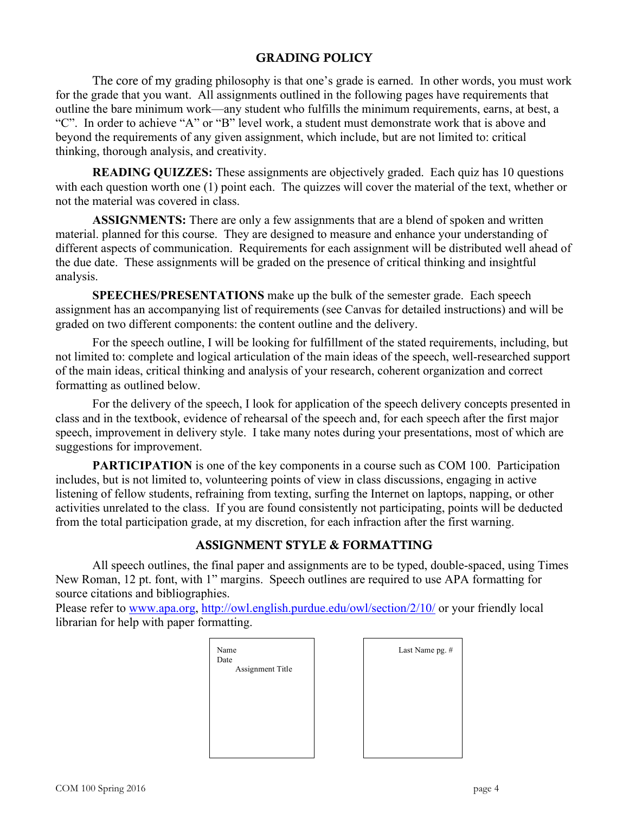#### GRADING POLICY

The core of my grading philosophy is that one's grade is earned. In other words, you must work for the grade that you want. All assignments outlined in the following pages have requirements that outline the bare minimum work—any student who fulfills the minimum requirements, earns, at best, a "C". In order to achieve "A" or "B" level work, a student must demonstrate work that is above and beyond the requirements of any given assignment, which include, but are not limited to: critical thinking, thorough analysis, and creativity.

**READING QUIZZES:** These assignments are objectively graded. Each quiz has 10 questions with each question worth one (1) point each. The quizzes will cover the material of the text, whether or not the material was covered in class.

**ASSIGNMENTS:** There are only a few assignments that are a blend of spoken and written material. planned for this course. They are designed to measure and enhance your understanding of different aspects of communication. Requirements for each assignment will be distributed well ahead of the due date. These assignments will be graded on the presence of critical thinking and insightful analysis.

**SPEECHES/PRESENTATIONS** make up the bulk of the semester grade. Each speech assignment has an accompanying list of requirements (see Canvas for detailed instructions) and will be graded on two different components: the content outline and the delivery.

For the speech outline, I will be looking for fulfillment of the stated requirements, including, but not limited to: complete and logical articulation of the main ideas of the speech, well-researched support of the main ideas, critical thinking and analysis of your research, coherent organization and correct formatting as outlined below.

For the delivery of the speech, I look for application of the speech delivery concepts presented in class and in the textbook, evidence of rehearsal of the speech and, for each speech after the first major speech, improvement in delivery style. I take many notes during your presentations, most of which are suggestions for improvement.

**PARTICIPATION** is one of the key components in a course such as COM 100. Participation includes, but is not limited to, volunteering points of view in class discussions, engaging in active listening of fellow students, refraining from texting, surfing the Internet on laptops, napping, or other activities unrelated to the class. If you are found consistently not participating, points will be deducted from the total participation grade, at my discretion, for each infraction after the first warning.

### ASSIGNMENT STYLE & FORMATTING

All speech outlines, the final paper and assignments are to be typed, double-spaced, using Times New Roman, 12 pt. font, with 1" margins. Speech outlines are required to use APA formatting for source citations and bibliographies.

Please refer to www.apa.org, http://owl.english.purdue.edu/owl/section/2/10/ or your friendly local librarian for help with paper formatting.

| Name<br>Date<br>Assignment Title | Last Name pg. # |
|----------------------------------|-----------------|
|                                  |                 |
|                                  |                 |
|                                  |                 |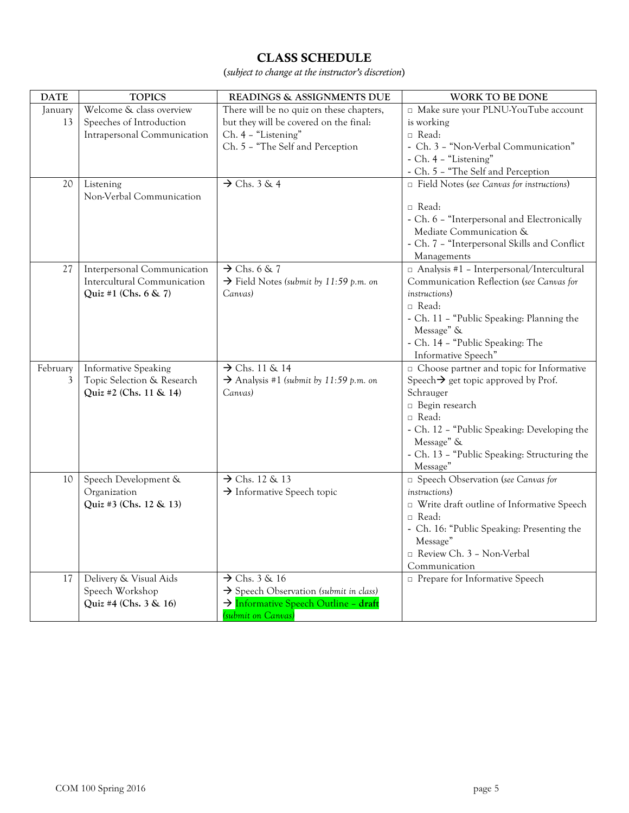# CLASS SCHEDULE

(*subject to change at the instructor's discretion*)

| <b>DATE</b> | <b>TOPICS</b>                         | READINGS & ASSIGNMENTS DUE                         | WORK TO BE DONE                                  |
|-------------|---------------------------------------|----------------------------------------------------|--------------------------------------------------|
| January     | Welcome & class overview              | There will be no quiz on these chapters,           | □ Make sure your PLNU-YouTube account            |
| 13          | Speeches of Introduction              | but they will be covered on the final:             | is working                                       |
|             | Intrapersonal Communication           | Ch. 4 - "Listening"                                | $\Box$ Read:                                     |
|             |                                       | Ch. 5 - "The Self and Perception                   | - Ch. 3 - "Non-Verbal Communication"             |
|             |                                       |                                                    | - Ch. 4 - "Listening"                            |
|             |                                       |                                                    | - Ch. 5 - "The Self and Perception               |
| 20          | Listening<br>Non-Verbal Communication | $\rightarrow$ Chs. 3 & 4                           | Field Notes (see Canvas for instructions)        |
|             |                                       |                                                    | $\Box$ Read:                                     |
|             |                                       |                                                    | - Ch. 6 - "Interpersonal and Electronically      |
|             |                                       |                                                    | Mediate Communication &                          |
|             |                                       |                                                    | - Ch. 7 - "Interpersonal Skills and Conflict     |
|             |                                       |                                                    | Managements                                      |
| 27          | Interpersonal Communication           | $\rightarrow$ Chs. 6 & 7                           | □ Analysis #1 - Interpersonal/Intercultural      |
|             | Intercultural Communication           | $\rightarrow$ Field Notes (submit by 11:59 p.m. on | Communication Reflection (see Canvas for         |
|             | Quiz #1 (Chs. $6 \& 7$ )              | Canvas)                                            | <i>instructions</i> )                            |
|             |                                       |                                                    | $\Box$ Read:                                     |
|             |                                       |                                                    | - Ch. 11 - "Public Speaking: Planning the        |
|             |                                       |                                                    | Message" &                                       |
|             |                                       |                                                    | - Ch. 14 - "Public Speaking: The                 |
|             |                                       |                                                    | Informative Speech"                              |
| February    | <b>Informative Speaking</b>           | $\rightarrow$ Chs. 11 & 14                         | $\Box$ Choose partner and topic for Informative  |
| 3           | Topic Selection & Research            | $\rightarrow$ Analysis #1 (submit by 11:59 p.m. on | Speech $\rightarrow$ get topic approved by Prof. |
|             | Quiz #2 (Chs. 11 & 14)                | Canvas)                                            | Schrauger                                        |
|             |                                       |                                                    | □ Begin research                                 |
|             |                                       |                                                    | □ Read:                                          |
|             |                                       |                                                    | - Ch. 12 - "Public Speaking: Developing the      |
|             |                                       |                                                    | Message" &                                       |
|             |                                       |                                                    | - Ch. 13 - "Public Speaking: Structuring the     |
|             |                                       |                                                    | Message"                                         |
| 10          | Speech Development &                  | $\rightarrow$ Chs. 12 & 13                         | □ Speech Observation (see Canvas for             |
|             | Organization                          | $\rightarrow$ Informative Speech topic             | <i>instructions</i> )                            |
|             | Quiz #3 (Chs. 12 & 13)                |                                                    | □ Write draft outline of Informative Speech      |
|             |                                       |                                                    | $\Box$ Read:                                     |
|             |                                       |                                                    | - Ch. 16: "Public Speaking: Presenting the       |
|             |                                       |                                                    | Message"                                         |
|             |                                       |                                                    | Review Ch. 3 - Non-Verbal                        |
|             |                                       |                                                    | Communication                                    |
| 17          | Delivery & Visual Aids                | $\rightarrow$ Chs. 3 & 16                          | <b>D</b> Prepare for Informative Speech          |
|             | Speech Workshop                       | $\rightarrow$ Speech Observation (submit in class) |                                                  |
|             | Quiz #4 (Chs. 3 & 16)                 | > Informative Speech Outline - draft               |                                                  |
|             |                                       | (submit on Canvas)                                 |                                                  |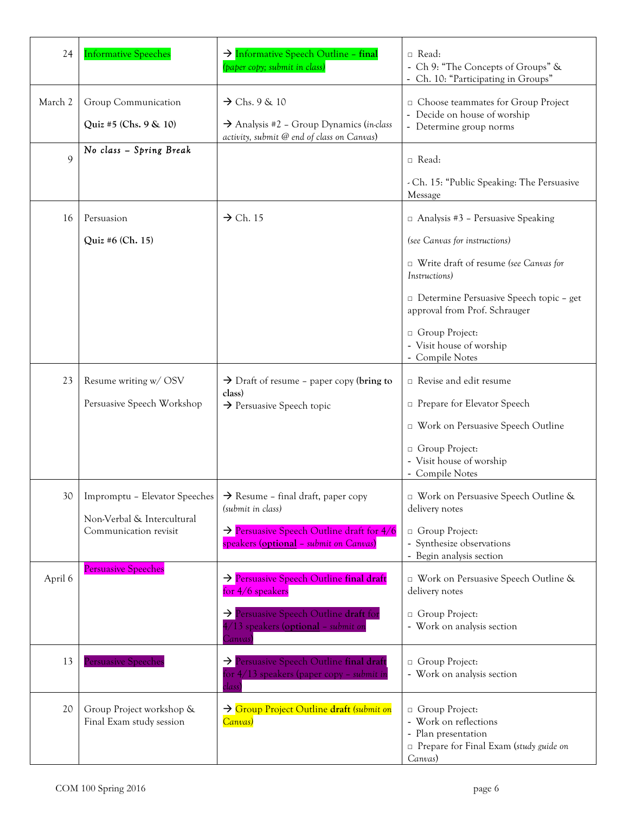| 24          | <b>Informative Speeches</b>                          | > Informative Speech Outline - final<br>(paper copy; submit in class)                                                           | $\Box$ Read:<br>- Ch 9: "The Concepts of Groups" &<br>- Ch. 10: "Participating in Groups"                             |
|-------------|------------------------------------------------------|---------------------------------------------------------------------------------------------------------------------------------|-----------------------------------------------------------------------------------------------------------------------|
| March 2     | Group Communication<br>Quiz #5 (Chs. $9 \& 10$ )     | $\rightarrow$ Chs. 9 & 10<br>$\rightarrow$ Analysis #2 - Group Dynamics (in-class<br>activity, submit @ end of class on Canvas) | □ Choose teammates for Group Project<br>- Decide on house of worship<br>- Determine group norms                       |
| $\mathbf Q$ | No class - Spring Break                              |                                                                                                                                 | $\Box$ Read:<br>- Ch. 15: "Public Speaking: The Persuasive                                                            |
|             |                                                      |                                                                                                                                 | Message                                                                                                               |
| 16          | Persuasion                                           | $\rightarrow$ Ch. 15                                                                                                            | $\Box$ Analysis #3 - Persuasive Speaking                                                                              |
|             | Quiz #6 (Ch. 15)                                     |                                                                                                                                 | (see Canvas for instructions)                                                                                         |
|             |                                                      |                                                                                                                                 | □ Write draft of resume (see Canvas for<br>Instructions)                                                              |
|             |                                                      |                                                                                                                                 | □ Determine Persuasive Speech topic - get<br>approval from Prof. Schrauger                                            |
|             |                                                      |                                                                                                                                 | □ Group Project:<br>- Visit house of worship<br>- Compile Notes                                                       |
| 23          | Resume writing w/ OSV                                | $\rightarrow$ Draft of resume – paper copy (bring to                                                                            | □ Revise and edit resume                                                                                              |
|             | Persuasive Speech Workshop                           | class)<br>$\rightarrow$ Persuasive Speech topic                                                                                 | □ Prepare for Elevator Speech                                                                                         |
|             |                                                      |                                                                                                                                 | □ Work on Persuasive Speech Outline                                                                                   |
|             |                                                      |                                                                                                                                 | □ Group Project:<br>- Visit house of worship<br>- Compile Notes                                                       |
|             | Non-Verbal & Intercultural                           | 30   Impromptu – Elevator Speeches $\vert \rightarrow \mathrm{Resume}$ – final draft, paper copy<br>(submit in class)           | □ Work on Persuasive Speech Outline &<br>delivery notes                                                               |
|             | Communication revisit                                | $\rightarrow$ Persuasive Speech Outline draft for 4/6<br>speakers (optional - submit on Canvas)                                 | □ Group Project:<br>- Synthesize observations<br>- Begin analysis section                                             |
| April 6     | <b>Persuasive Speeches</b>                           | > Persuasive Speech Outline final draft<br>for 4/6 speakers                                                                     | □ Work on Persuasive Speech Outline &<br>delivery notes                                                               |
|             |                                                      | > Persuasive Speech Outline draft for<br>4/13 speakers (optional - submit or<br>Canvas)                                         | □ Group Project:<br>- Work on analysis section                                                                        |
| 13          | <b>Persuasive Speeches</b>                           | > Persuasive Speech Outline final draft<br>for $4/13$ speakers (paper copy - submit in<br>:lass                                 | <sup>□</sup> Group Project:<br>- Work on analysis section                                                             |
| 20          | Group Project workshop &<br>Final Exam study session | > Group Project Outline draft (submit on<br>Canvas)                                                                             | □ Group Project:<br>- Work on reflections<br>- Plan presentation<br>Prepare for Final Exam (study guide on<br>Canvas) |